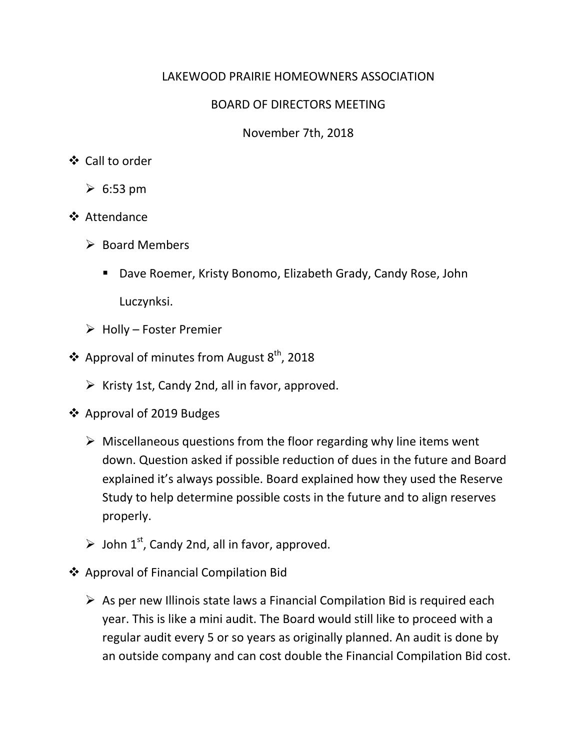### LAKEWOOD PRAIRIE HOMEOWNERS ASSOCIATION

### BOARD OF DIRECTORS MEETING

November 7th, 2018

### Call to order

- $\geqslant 6:53 \text{ pm}$
- Attendance
	- $\triangleright$  Board Members
		- Dave Roemer, Kristy Bonomo, Elizabeth Grady, Candy Rose, John Luczynksi.
	- $\triangleright$  Holly Foster Premier
- ❖ Approval of minutes from August  $8<sup>th</sup>$ , 2018
	- $\triangleright$  Kristy 1st, Candy 2nd, all in favor, approved.
- Approval of 2019 Budges
	- $\triangleright$  Miscellaneous questions from the floor regarding why line items went down. Question asked if possible reduction of dues in the future and Board explained it's always possible. Board explained how they used the Reserve Study to help determine possible costs in the future and to align reserves properly.
	- $\triangleright$  John 1<sup>st</sup>, Candy 2nd, all in favor, approved.
- Approval of Financial Compilation Bid
	- $\triangleright$  As per new Illinois state laws a Financial Compilation Bid is required each year. This is like a mini audit. The Board would still like to proceed with a regular audit every 5 or so years as originally planned. An audit is done by an outside company and can cost double the Financial Compilation Bid cost.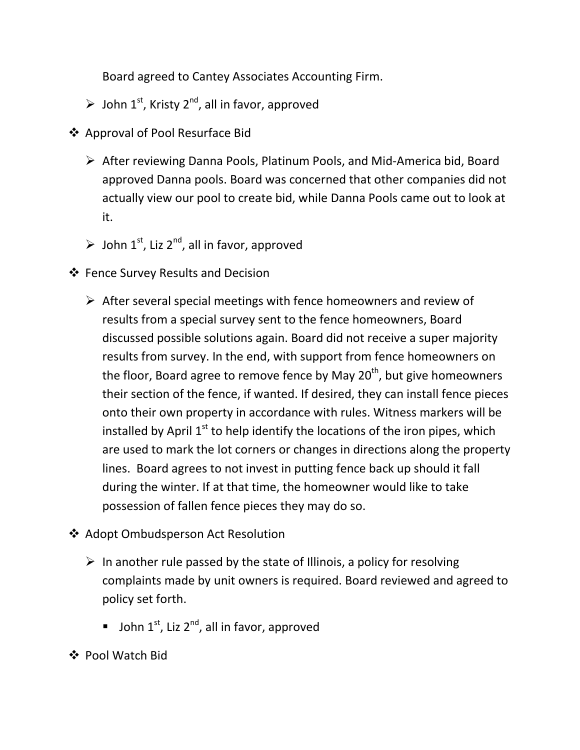Board agreed to Cantey Associates Accounting Firm.

- $\triangleright$  John 1<sup>st</sup>, Kristy 2<sup>nd</sup>, all in favor, approved
- Approval of Pool Resurface Bid
	- After reviewing Danna Pools, Platinum Pools, and Mid-America bid, Board approved Danna pools. Board was concerned that other companies did not actually view our pool to create bid, while Danna Pools came out to look at it.
	- $\triangleright$  John 1<sup>st</sup>, Liz 2<sup>nd</sup>, all in favor, approved
- Fence Survey Results and Decision
	- $\triangleright$  After several special meetings with fence homeowners and review of results from a special survey sent to the fence homeowners, Board discussed possible solutions again. Board did not receive a super majority results from survey. In the end, with support from fence homeowners on the floor, Board agree to remove fence by May  $20<sup>th</sup>$ , but give homeowners their section of the fence, if wanted. If desired, they can install fence pieces onto their own property in accordance with rules. Witness markers will be installed by April  $1<sup>st</sup>$  to help identify the locations of the iron pipes, which are used to mark the lot corners or changes in directions along the property lines. Board agrees to not invest in putting fence back up should it fall during the winter. If at that time, the homeowner would like to take possession of fallen fence pieces they may do so.
- ❖ Adopt Ombudsperson Act Resolution
	- $\triangleright$  In another rule passed by the state of Illinois, a policy for resolving complaints made by unit owners is required. Board reviewed and agreed to policy set forth.
		- **John 1st, Liz 2<sup>nd</sup>, all in favor, approved**
- Pool Watch Bid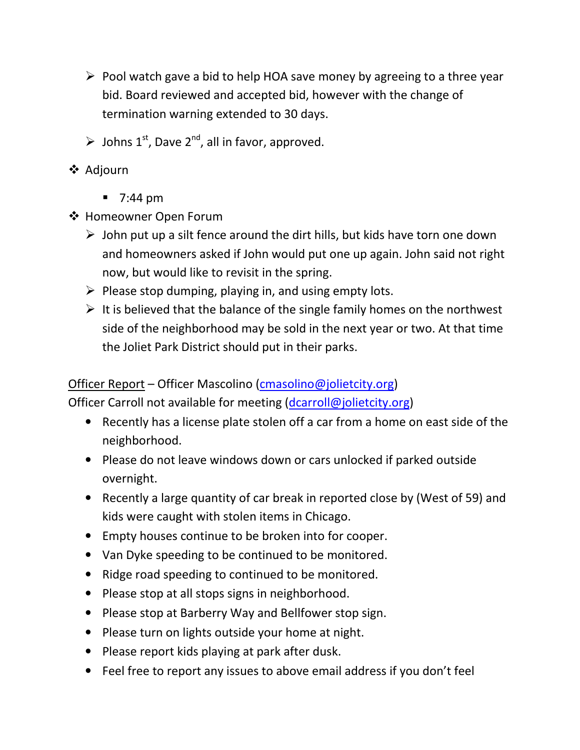- $\triangleright$  Pool watch gave a bid to help HOA save money by agreeing to a three year bid. Board reviewed and accepted bid, however with the change of termination warning extended to 30 days.
- $\triangleright$  Johns 1<sup>st</sup>, Dave 2<sup>nd</sup>, all in favor, approved.
- **❖** Adjourn
	- $\blacksquare$  7:44 pm
- ❖ Homeowner Open Forum
	- $\triangleright$  John put up a silt fence around the dirt hills, but kids have torn one down and homeowners asked if John would put one up again. John said not right now, but would like to revisit in the spring.
	- $\triangleright$  Please stop dumping, playing in, and using empty lots.
	- $\triangleright$  It is believed that the balance of the single family homes on the northwest side of the neighborhood may be sold in the next year or two. At that time the Joliet Park District should put in their parks.

## Officer Report – Officer Mascolino (cmasolino@jolietcity.org)

Officer Carroll not available for meeting (dcarroll@jolietcity.org)

- Recently has a license plate stolen off a car from a home on east side of the neighborhood.
- Please do not leave windows down or cars unlocked if parked outside overnight.
- Recently a large quantity of car break in reported close by (West of 59) and kids were caught with stolen items in Chicago.
- Empty houses continue to be broken into for cooper.
- Van Dyke speeding to be continued to be monitored.
- Ridge road speeding to continued to be monitored.
- Please stop at all stops signs in neighborhood.
- Please stop at Barberry Way and Bellfower stop sign.
- Please turn on lights outside your home at night.
- Please report kids playing at park after dusk.
- Feel free to report any issues to above email address if you don't feel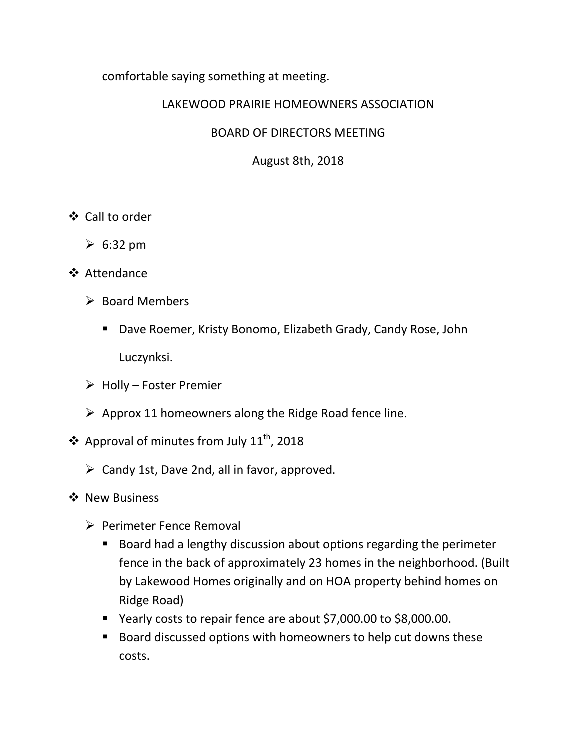comfortable saying something at meeting.

### LAKEWOOD PRAIRIE HOMEOWNERS ASSOCIATION

### BOARD OF DIRECTORS MEETING

August 8th, 2018

- Call to order
	- $\geqslant 6:32 \text{ pm}$
- Attendance
	- $\triangleright$  Board Members
		- Dave Roemer, Kristy Bonomo, Elizabeth Grady, Candy Rose, John Luczynksi.
	- $\triangleright$  Holly Foster Premier
	- $\triangleright$  Approx 11 homeowners along the Ridge Road fence line.
- ❖ Approval of minutes from July  $11^{th}$ , 2018
	- $\triangleright$  Candy 1st, Dave 2nd, all in favor, approved.
- ❖ New Business
	- $\triangleright$  Perimeter Fence Removal
		- Board had a lengthy discussion about options regarding the perimeter fence in the back of approximately 23 homes in the neighborhood. (Built by Lakewood Homes originally and on HOA property behind homes on Ridge Road)
		- Yearly costs to repair fence are about \$7,000.00 to \$8,000.00.
		- Board discussed options with homeowners to help cut downs these costs.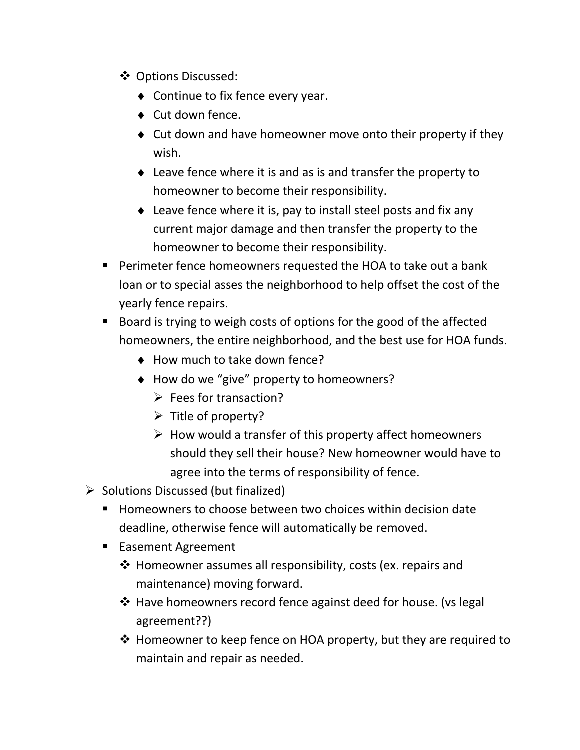- Options Discussed:
	- ♦ Continue to fix fence every year.
	- ♦ Cut down fence.
	- ♦ Cut down and have homeowner move onto their property if they wish.
	- ♦ Leave fence where it is and as is and transfer the property to homeowner to become their responsibility.
	- ♦ Leave fence where it is, pay to install steel posts and fix any current major damage and then transfer the property to the homeowner to become their responsibility.
- Perimeter fence homeowners requested the HOA to take out a bank loan or to special asses the neighborhood to help offset the cost of the yearly fence repairs.
- Board is trying to weigh costs of options for the good of the affected homeowners, the entire neighborhood, and the best use for HOA funds.
	- ♦ How much to take down fence?
	- ♦ How do we "give" property to homeowners?
		- $\triangleright$  Fees for transaction?
		- $\triangleright$  Title of property?
		- $\triangleright$  How would a transfer of this property affect homeowners should they sell their house? New homeowner would have to agree into the terms of responsibility of fence.
- $\triangleright$  Solutions Discussed (but finalized)
	- Homeowners to choose between two choices within decision date deadline, otherwise fence will automatically be removed.
	- Easement Agreement
		- $\triangleq$  Homeowner assumes all responsibility, costs (ex. repairs and maintenance) moving forward.
		- $\cdot$  Have homeowners record fence against deed for house. (vs legal agreement??)
		- $\cdot$  Homeowner to keep fence on HOA property, but they are required to maintain and repair as needed.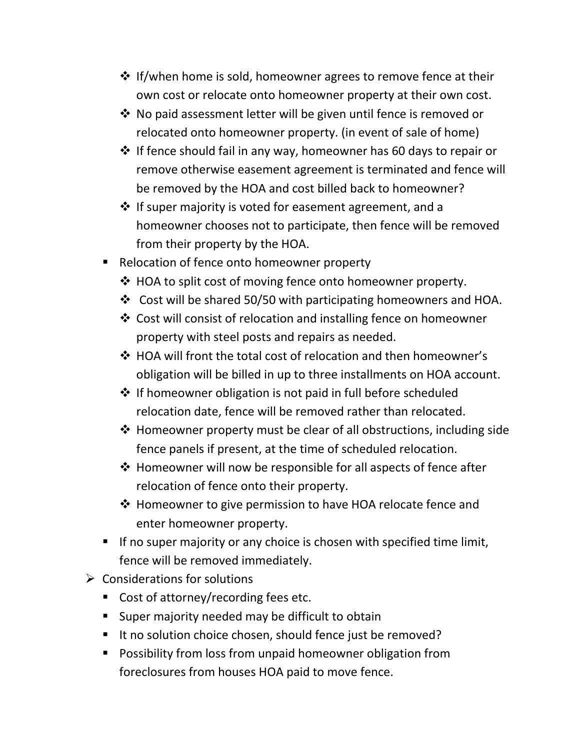- $\cdot$  If/when home is sold, homeowner agrees to remove fence at their own cost or relocate onto homeowner property at their own cost.
- $\cdot$  No paid assessment letter will be given until fence is removed or relocated onto homeowner property. (in event of sale of home)
- $\cdot$  If fence should fail in any way, homeowner has 60 days to repair or remove otherwise easement agreement is terminated and fence will be removed by the HOA and cost billed back to homeowner?
- $\cdot$  If super majority is voted for easement agreement, and a homeowner chooses not to participate, then fence will be removed from their property by the HOA.
- Relocation of fence onto homeowner property
	- ◆ HOA to split cost of moving fence onto homeowner property.
	- $\cdot$  Cost will be shared 50/50 with participating homeowners and HOA.
	- Cost will consist of relocation and installing fence on homeowner property with steel posts and repairs as needed.
	- $\cdot$  HOA will front the total cost of relocation and then homeowner's obligation will be billed in up to three installments on HOA account.
	- $\cdot$  If homeowner obligation is not paid in full before scheduled relocation date, fence will be removed rather than relocated.
	- $\cdot$  Homeowner property must be clear of all obstructions, including side fence panels if present, at the time of scheduled relocation.
	- $\cdot$  Homeowner will now be responsible for all aspects of fence after relocation of fence onto their property.
	- ❖ Homeowner to give permission to have HOA relocate fence and enter homeowner property.
- If no super majority or any choice is chosen with specified time limit, fence will be removed immediately.
- $\triangleright$  Considerations for solutions
	- Cost of attorney/recording fees etc.
	- **Super majority needed may be difficult to obtain**
	- It no solution choice chosen, should fence just be removed?
	- **Possibility from loss from unpaid homeowner obligation from** foreclosures from houses HOA paid to move fence.